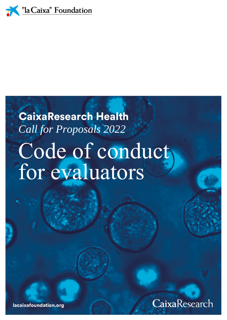

# **CaixaResearch Health** *Call for Proposals 2022*Code of conduct, for evaluators



lacaixafoundation.org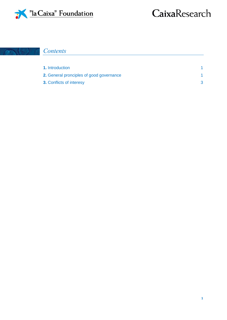

## CaixaResearch

#### *Contents* 生态单 成

| <b>1.</b> Introduction                          |  |
|-------------------------------------------------|--|
| <b>2.</b> General pronciples of good governance |  |
| <b>3. Conflicts of interesy</b>                 |  |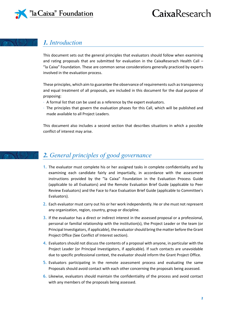

## CaixaResearch

#### *1. Introduction*

This document sets out the general principles that evaluators should follow when examining and rating proposals that are submitted for evaluation in the CaixaReserach Health Call – "la Caixa" Foundation. These are common sense considerations generally practiced by experts involved in the evaluation process.

These principles, which aim to guarantee the observance of requirements such as transparency and equal treatment of all proposals, are included in this document for the dual purpose of proposing:

- · A formal list that can be used as a reference by the expert evaluators.
- · The principles that govern the evaluation phases for this Call, which will be published and made available to all Project Leaders.

This document also includes a second section that describes situations in which a possible conflict of interest may arise.

### *2. General principles of good governance*

- 1. The evaluator must complete his or her assigned tasks in complete confidentiality and by examining each candidate fairly and impartially, in accordance with the assessment instructions provided by the "la Caixa" Foundation in the Evaluation Process Guide (applicable to all Evaluators) and the Remote Evaluation Brief Guide (applicable to Peer Review Evaluators) and the Face to Face Evaluation Brief Guide (applicable to Committee's Evaluators).
- 2. Each evaluator must carry out his or her work independently. He or she must not represent any organization, region, country, group or discipline.
- 3. If the evaluator has a direct or indirect interest in the assessed proposal or a professional, personal or familial relationship with the institution(s), the Project Leader or the team (or Principal Investigators, if applicable), the evaluator should bring the matter before the Grant Project Office (See Conflict of Interest section).
- 4. Evaluators should not discuss the contents of a proposal with anyone, in particular with the Project Leader (or Principal Investigators, if applicable). If such contacts are unavoidable due to specific professional context, the evaluator should inform the Grant Project Office.
- 5. Evaluators participating in the remote assessment process and evaluating the same Proposals should avoid contact with each other concerning the proposals being assessed.
- 6. Likewise, evaluators should maintain the confidentiality of the process and avoid contact with any members of the proposals being assessed.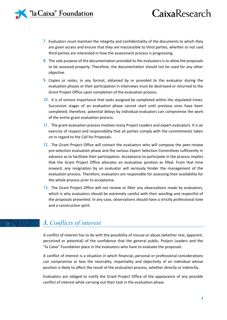#### "la Caixa" Foundation

## CaixaResearch

- 7. Evaluators must maintain the integrity and confidentiality of the documents to which they are given access and ensure that they are inaccessible to third parties, whether or not said third parties are interested in how the assessment process is progressing.
- 8. The sole purpose of the documentation provided to the evaluators is to allow the proposals to be assessed properly. Therefore, the documentation should not be used for any other objective.
- 9. Copies or notes, in any format, obtained by or provided to the evaluator during the evaluation phases or their participation in interviews must be destroyed or returned to the Grant Project Office upon completion of the evaluation process.
- 10. It is of utmost importance that tasks assigned be completed within the stipulated times. Successive stages of an evaluation phase cannot start until previous ones have been completed; therefore, potential delays by individual evaluators can compromise the work of the entire grant evaluation process.
- 11. The grant evaluation process involves many Project Leaders and expert evaluators. It is an exercise of respect and responsibility that all parties comply with the commitments taken on in regard to the Call for Proposals.
- 12. The Grant Project Office will contact the evaluators who will compose the peer-review pre-selection evaluation phase and the various Expert Selection Committees sufficiently in advance as to facilitate their participation. Acceptance to participate in the process implies that the Grant Project Office allocates an evaluation position as filled. From that time onward, any resignation by an evaluator will seriously hinder the management of the evaluation process. Therefore, evaluators are responsible for assessing their availability for the whole process prior to acceptance.
- 13. The Grant Project Office will not review or filter any observations made by evaluators, which is why evaluators should be extremely careful with their wording and respectful of the proposals presented. In any case, observations should have a strictly professional tone and a constructive spirit.

#### <span id="page-3-0"></span>*3. Conflicts of interest*

A conflict of interest has to do with the possibility of misuse or abuse (whether real, apparent, perceived or potential) of the confidence that the general public, Project Leaders and the "la Caixa" Foundation place in the evaluators who have to evaluate the proposals.

A conflict of interest is a situation in which financial, personal or professional considerations can compromise or bias the neutrality, impartiality and objectivity of an individual whose position is likely to affect the result of the evaluation process, whether directly or indirectly.

Evaluators are obliged to notify the Grant Project Office of the appearance of any possible conflict of interest while carrying out their task in the evaluation phase.